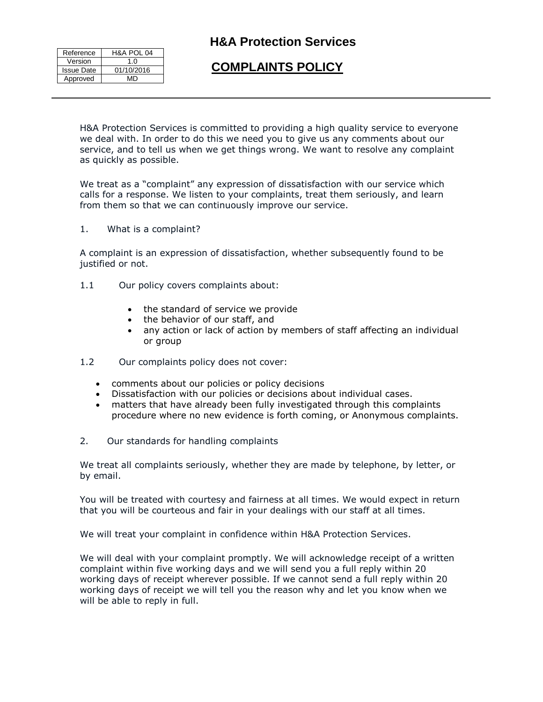| Reference         | H&A POL 04 |
|-------------------|------------|
| Version           | 1.0        |
| <b>Issue Date</b> | 01/10/2016 |
| Approved          | лгэ        |

# **COMPLAINTS POLICY**

H&A Protection Services is committed to providing a high quality service to everyone we deal with. In order to do this we need you to give us any comments about our service, and to tell us when we get things wrong. We want to resolve any complaint as quickly as possible.

We treat as a "complaint" any expression of dissatisfaction with our service which calls for a response. We listen to your complaints, treat them seriously, and learn from them so that we can continuously improve our service.

1. What is a complaint?

A complaint is an expression of dissatisfaction, whether subsequently found to be justified or not.

- 1.1 Our policy covers complaints about:
	- the standard of service we provide
	- the behavior of our staff, and
	- any action or lack of action by members of staff affecting an individual or group
- 1.2 Our complaints policy does not cover:
	- comments about our policies or policy decisions
	- Dissatisfaction with our policies or decisions about individual cases.
	- matters that have already been fully investigated through this complaints procedure where no new evidence is forth coming, or Anonymous complaints.
- 2. Our standards for handling complaints

We treat all complaints seriously, whether they are made by telephone, by letter, or by email.

You will be treated with courtesy and fairness at all times. We would expect in return that you will be courteous and fair in your dealings with our staff at all times.

We will treat your complaint in confidence within H&A Protection Services.

We will deal with your complaint promptly. We will acknowledge receipt of a written complaint within five working days and we will send you a full reply within 20 working days of receipt wherever possible. If we cannot send a full reply within 20 working days of receipt we will tell you the reason why and let you know when we will be able to reply in full.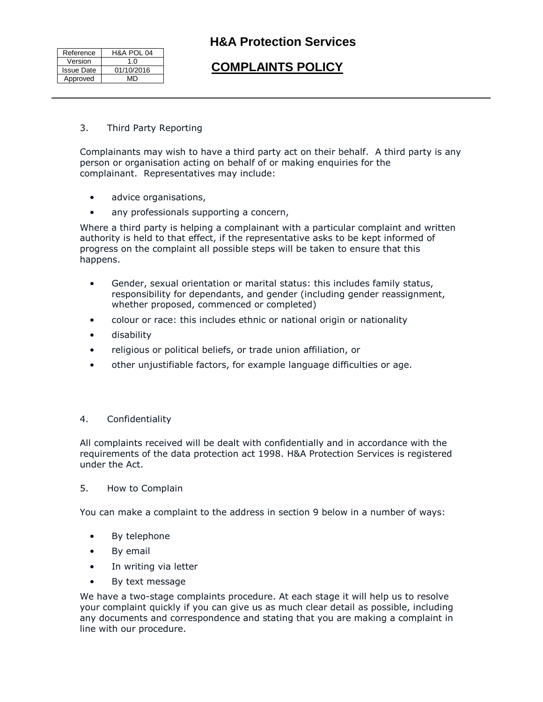| Reference         | H&A POL 04 |
|-------------------|------------|
| Version           | 1.0        |
| <b>Issue Date</b> | 01/10/2016 |
| Approved          | MD         |

# **COMPLAINTS POLICY**

3. Third Party Reporting

Complainants may wish to have a third party act on their behalf. A third party is any person or organisation acting on behalf of or making enquiries for the complainant. Representatives may include:

- advice organisations,
- any professionals supporting a concern,

Where a third party is helping a complainant with a particular complaint and written authority is held to that effect, if the representative asks to be kept informed of progress on the complaint all possible steps will be taken to ensure that this happens.

- Gender, sexual orientation or marital status: this includes family status, responsibility for dependants, and gender (including gender reassignment, whether proposed, commenced or completed)
- colour or race: this includes ethnic or national origin or nationality
- disability
- religious or political beliefs, or trade union affiliation, or
- other unjustifiable factors, for example language difficulties or age.

### 4. Confidentiality

All complaints received will be dealt with confidentially and in accordance with the requirements of the data protection act 1998. H&A Protection Services is registered under the Act.

### 5. How to Complain

You can make a complaint to the address in section 9 below in a number of ways:

- By telephone
- By email
- In writing via letter
- By text message

We have a two-stage complaints procedure. At each stage it will help us to resolve your complaint quickly if you can give us as much clear detail as possible, including any documents and correspondence and stating that you are making a complaint in line with our procedure.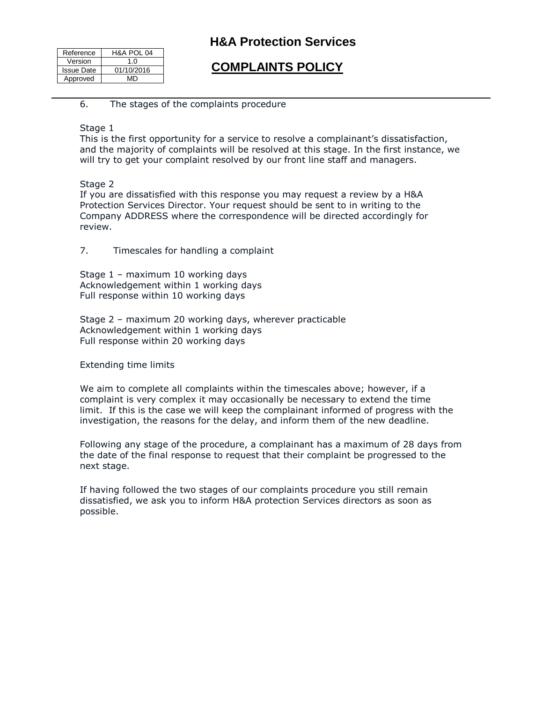| Reference         | H&A POL 04 |
|-------------------|------------|
| Version           | 1 በ        |
| <b>Issue Date</b> | 01/10/2016 |
| Approved          | MD         |

# **COMPLAINTS POLICY**

### 6. The stages of the complaints procedure

#### Stage 1

This is the first opportunity for a service to resolve a complainant's dissatisfaction, and the majority of complaints will be resolved at this stage. In the first instance, we will try to get your complaint resolved by our front line staff and managers.

#### Stage 2

If you are dissatisfied with this response you may request a review by a H&A Protection Services Director. Your request should be sent to in writing to the Company ADDRESS where the correspondence will be directed accordingly for review.

## 7. Timescales for handling a complaint

Stage 1 – maximum 10 working days Acknowledgement within 1 working days Full response within 10 working days

Stage 2 – maximum 20 working days, wherever practicable Acknowledgement within 1 working days Full response within 20 working days

Extending time limits

We aim to complete all complaints within the timescales above; however, if a complaint is very complex it may occasionally be necessary to extend the time limit. If this is the case we will keep the complainant informed of progress with the investigation, the reasons for the delay, and inform them of the new deadline.

Following any stage of the procedure, a complainant has a maximum of 28 days from the date of the final response to request that their complaint be progressed to the next stage.

If having followed the two stages of our complaints procedure you still remain dissatisfied, we ask you to inform H&A protection Services directors as soon as possible.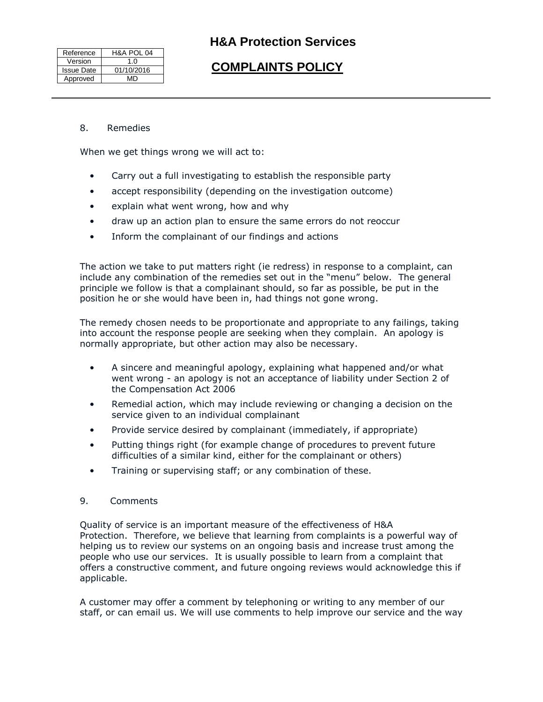| Reference         | H&A POL 04 |
|-------------------|------------|
| Version           | 1.0        |
| <b>Issue Date</b> | 01/10/2016 |
| Approved          | MD         |

# **COMPLAINTS POLICY**

#### 8. Remedies

When we get things wrong we will act to:

- Carry out a full investigating to establish the responsible party
- accept responsibility (depending on the investigation outcome)
- explain what went wrong, how and why
- draw up an action plan to ensure the same errors do not reoccur
- Inform the complainant of our findings and actions

The action we take to put matters right (ie redress) in response to a complaint, can include any combination of the remedies set out in the "menu" below. The general principle we follow is that a complainant should, so far as possible, be put in the position he or she would have been in, had things not gone wrong.

The remedy chosen needs to be proportionate and appropriate to any failings, taking into account the response people are seeking when they complain. An apology is normally appropriate, but other action may also be necessary.

- A sincere and meaningful apology, explaining what happened and/or what went wrong - an apology is not an acceptance of liability under Section 2 of the Compensation Act 2006
- Remedial action, which may include reviewing or changing a decision on the service given to an individual complainant
- Provide service desired by complainant (immediately, if appropriate)
- Putting things right (for example change of procedures to prevent future difficulties of a similar kind, either for the complainant or others)
- Training or supervising staff; or any combination of these.

## 9. Comments

Quality of service is an important measure of the effectiveness of H&A Protection. Therefore, we believe that learning from complaints is a powerful way of helping us to review our systems on an ongoing basis and increase trust among the people who use our services. It is usually possible to learn from a complaint that offers a constructive comment, and future ongoing reviews would acknowledge this if applicable.

A customer may offer a comment by telephoning or writing to any member of our staff, or can email us. We will use comments to help improve our service and the way